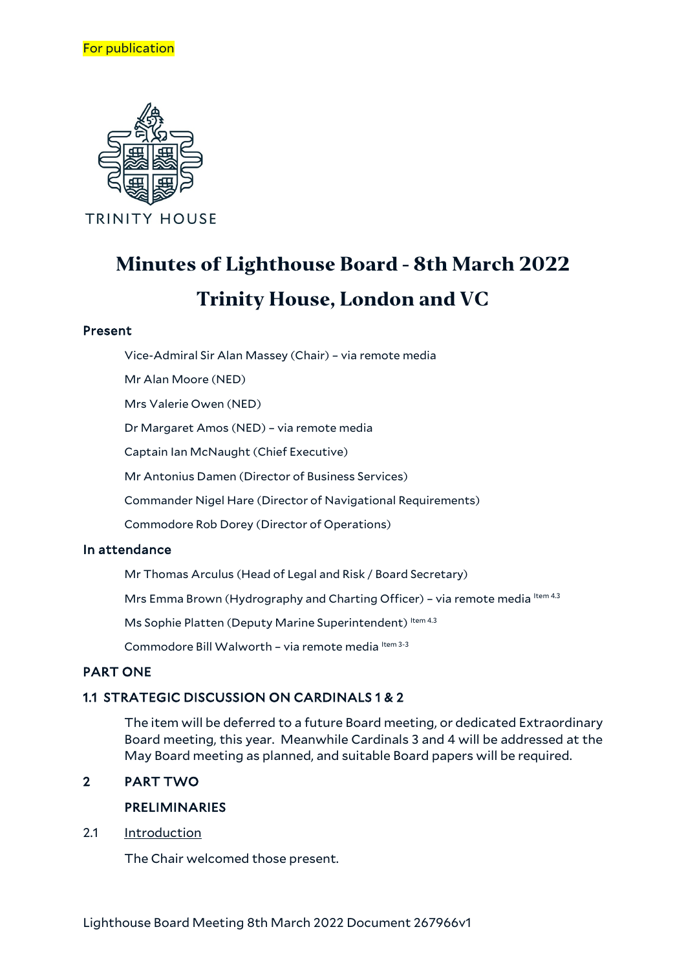

# **Minutes of Lighthouse Board - 8th March 2022 Trinity House, London and VC**

## Present

Vice-Admiral Sir Alan Massey (Chair) – via remote media

Mr Alan Moore (NED)

Mrs Valerie Owen (NED)

Dr Margaret Amos (NED) – via remote media

Captain Ian McNaught (Chief Executive)

Mr Antonius Damen (Director of Business Services)

Commander Nigel Hare (Director of Navigational Requirements)

Commodore Rob Dorey (Director of Operations)

## In attendance

Mr Thomas Arculus (Head of Legal and Risk / Board Secretary)

Mrs Emma Brown (Hydrography and Charting Officer) - via remote media Item 4.3

Ms Sophie Platten (Deputy Marine Superintendent) Item 4.3

Commodore Bill Walworth - via remote media Item 3-3

# PART ONE

## 1.1 STRATEGIC DISCUSSION ON CARDINALS 1 & 2

The item will be deferred to a future Board meeting, or dedicated Extraordinary Board meeting, this year. Meanwhile Cardinals 3 and 4 will be addressed at the May Board meeting as planned, and suitable Board papers will be required.

# 2 PART TWO

## PRELIMINARIES

2.1 Introduction

The Chair welcomed those present.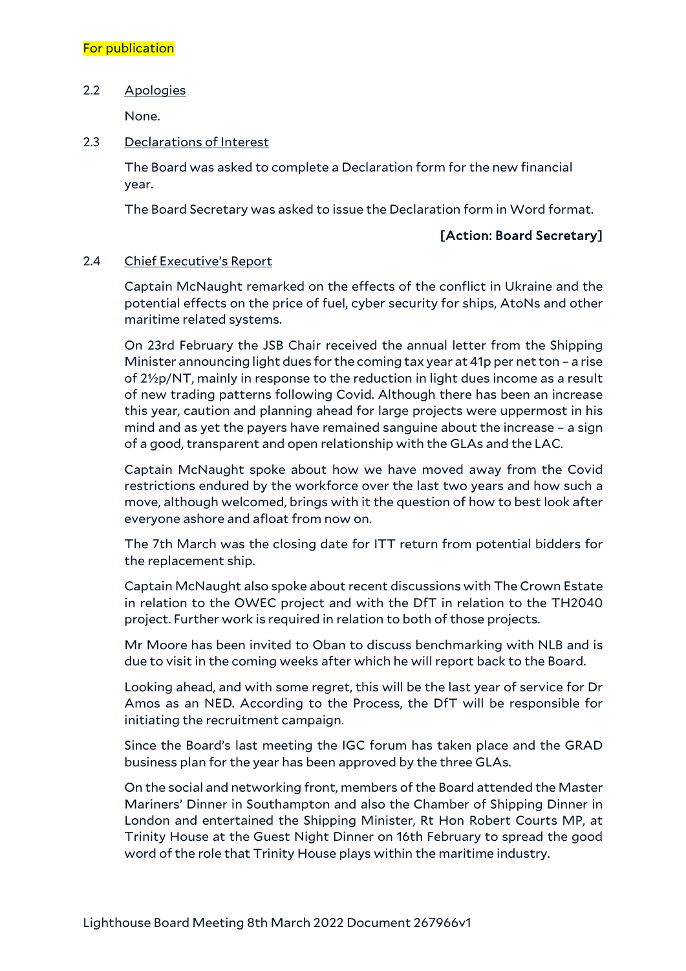## For publication

#### 2.2 Apologies

None.

#### 2.3 Declarations of Interest

The Board was asked to complete a Declaration form for the new financial year.

The Board Secretary was asked to issue the Declaration form in Word format.

## [Action: Board Secretary]

## 2.4 Chief Executive's Report

Captain McNaught remarked on the effects of the conflict in Ukraine and the potential effects on the price of fuel, cyber security for ships, AtoNs and other maritime related systems.

On 23rd February the JSB Chair received the annual letter from the Shipping Minister announcing light dues for the coming tax year at 41p per net ton – a rise of 2½p/NT, mainly in response to the reduction in light dues income as a result of new trading patterns following Covid. Although there has been an increase this year, caution and planning ahead for large projects were uppermost in his mind and as yet the payers have remained sanguine about the increase – a sign of a good, transparent and open relationship with the GLAs and the LAC.

Captain McNaught spoke about how we have moved away from the Covid restrictions endured by the workforce over the last two years and how such a move, although welcomed, brings with it the question of how to best look after everyone ashore and afloat from now on.

The 7th March was the closing date for ITT return from potential bidders for the replacement ship.

Captain McNaught also spoke about recent discussions with The Crown Estate in relation to the OWEC project and with the DfT in relation to the TH2040 project. Further work is required in relation to both of those projects.

Mr Moore has been invited to Oban to discuss benchmarking with NLB and is due to visit in the coming weeks after which he will report back to the Board.

Looking ahead, and with some regret, this will be the last year of service for Dr Amos as an NED. According to the Process, the DfT will be responsible for initiating the recruitment campaign.

Since the Board's last meeting the IGC forum has taken place and the GRAD business plan for the year has been approved by the three GLAs.

On the social and networking front, members of the Board attended the Master Mariners' Dinner in Southampton and also the Chamber of Shipping Dinner in London and entertained the Shipping Minister, Rt Hon Robert Courts MP, at Trinity House at the Guest Night Dinner on 16th February to spread the good word of the role that Trinity House plays within the maritime industry.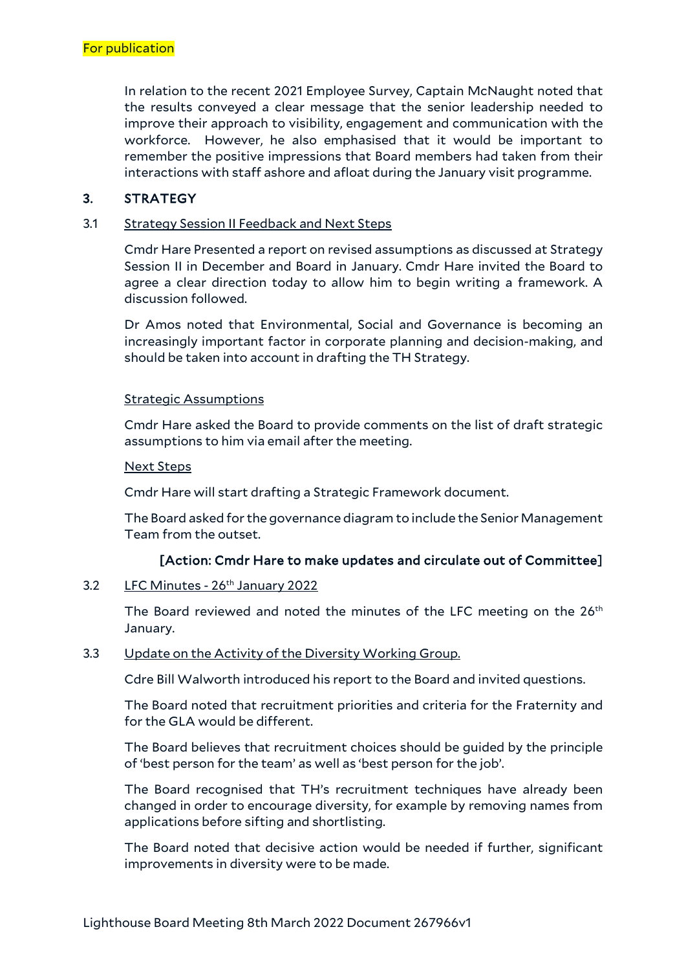In relation to the recent 2021 Employee Survey, Captain McNaught noted that the results conveyed a clear message that the senior leadership needed to improve their approach to visibility, engagement and communication with the workforce. However, he also emphasised that it would be important to remember the positive impressions that Board members had taken from their interactions with staff ashore and afloat during the January visit programme.

## 3. STRATEGY

#### 3.1 Strategy Session II Feedback and Next Steps

Cmdr Hare Presented a report on revised assumptions as discussed at Strategy Session II in December and Board in January. Cmdr Hare invited the Board to agree a clear direction today to allow him to begin writing a framework. A discussion followed.

Dr Amos noted that Environmental, Social and Governance is becoming an increasingly important factor in corporate planning and decision-making, and should be taken into account in drafting the TH Strategy.

#### Strategic Assumptions

Cmdr Hare asked the Board to provide comments on the list of draft strategic assumptions to him via email after the meeting.

#### Next Steps

Cmdr Hare will start drafting a Strategic Framework document.

The Board asked for the governance diagram to include the Senior Management Team from the outset.

## [Action: Cmdr Hare to make updates and circulate out of Committee]

## 3.2 LFC Minutes - 26<sup>th</sup> January 2022

The Board reviewed and noted the minutes of the LFC meeting on the  $26<sup>th</sup>$ January.

## 3.3 Update on the Activity of the Diversity Working Group.

Cdre Bill Walworth introduced his report to the Board and invited questions.

The Board noted that recruitment priorities and criteria for the Fraternity and for the GLA would be different.

The Board believes that recruitment choices should be guided by the principle of 'best person for the team' as well as 'best person for the job'.

The Board recognised that TH's recruitment techniques have already been changed in order to encourage diversity, for example by removing names from applications before sifting and shortlisting.

The Board noted that decisive action would be needed if further, significant improvements in diversity were to be made.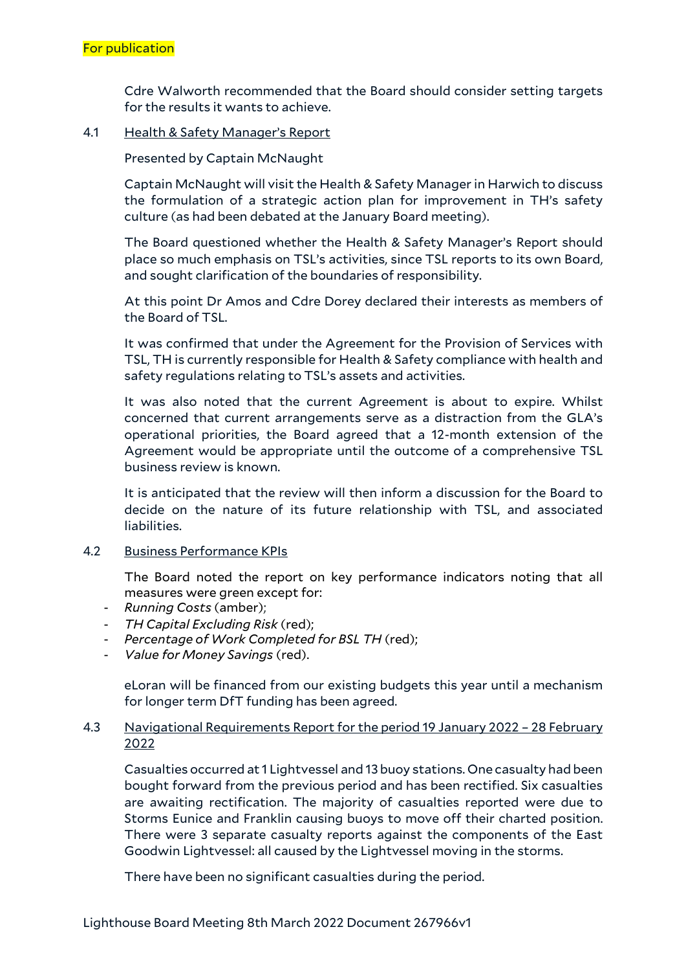Cdre Walworth recommended that the Board should consider setting targets for the results it wants to achieve.

## 4.1 Health & Safety Manager's Report

Presented by Captain McNaught

Captain McNaught will visit the Health & Safety Manager in Harwich to discuss the formulation of a strategic action plan for improvement in TH's safety culture (as had been debated at the January Board meeting).

The Board questioned whether the Health & Safety Manager's Report should place so much emphasis on TSL's activities, since TSL reports to its own Board, and sought clarification of the boundaries of responsibility.

At this point Dr Amos and Cdre Dorey declared their interests as members of the Board of TSL.

It was confirmed that under the Agreement for the Provision of Services with TSL, TH is currently responsible for Health & Safety compliance with health and safety regulations relating to TSL's assets and activities.

It was also noted that the current Agreement is about to expire. Whilst concerned that current arrangements serve as a distraction from the GLA's operational priorities, the Board agreed that a 12-month extension of the Agreement would be appropriate until the outcome of a comprehensive TSL business review is known.

It is anticipated that the review will then inform a discussion for the Board to decide on the nature of its future relationship with TSL, and associated liabilities.

## 4.2 Business Performance KPIs

The Board noted the report on key performance indicators noting that all measures were green except for:

- *Running Costs* (amber);
- *TH Capital Excluding Risk* (red);
- *Percentage of Work Completed for BSL TH* (red);
- *Value for Money Savings* (red).

eLoran will be financed from our existing budgets this year until a mechanism for longer term DfT funding has been agreed.

## 4.3 Navigational Requirements Report for the period 19 January 2022 – 28 February 2022

Casualties occurred at 1 Lightvessel and 13 buoy stations. One casualty had been bought forward from the previous period and has been rectified. Six casualties are awaiting rectification. The majority of casualties reported were due to Storms Eunice and Franklin causing buoys to move off their charted position. There were 3 separate casualty reports against the components of the East Goodwin Lightvessel: all caused by the Lightvessel moving in the storms.

There have been no significant casualties during the period.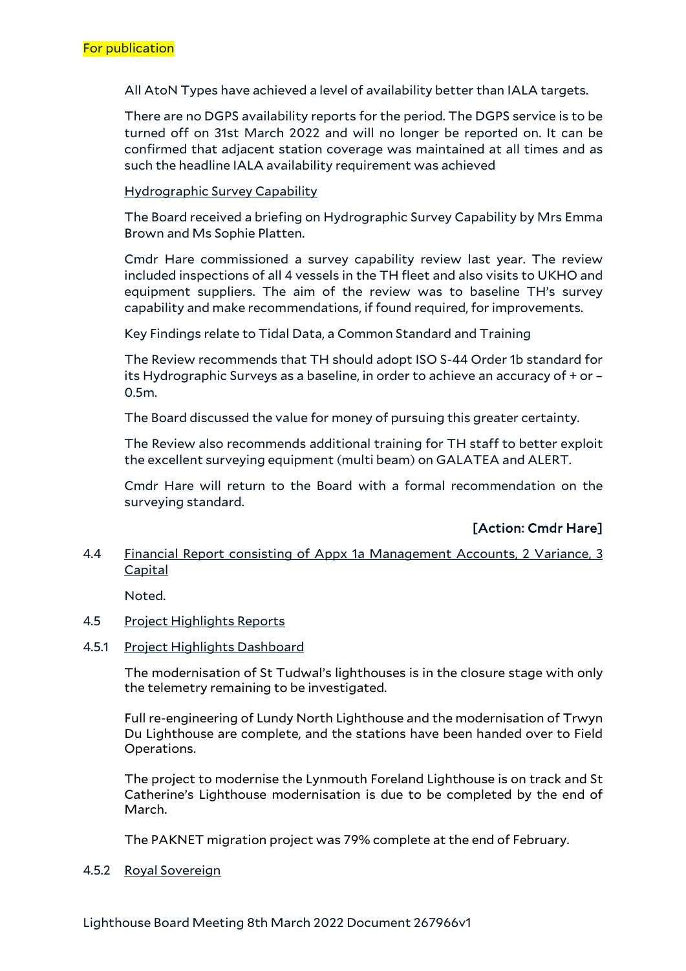All AtoN Types have achieved a level of availability better than IALA targets.

There are no DGPS availability reports for the period. The DGPS service is to be turned off on 31st March 2022 and will no longer be reported on. It can be confirmed that adjacent station coverage was maintained at all times and as such the headline IALA availability requirement was achieved

Hydrographic Survey Capability

The Board received a briefing on Hydrographic Survey Capability by Mrs Emma Brown and Ms Sophie Platten.

Cmdr Hare commissioned a survey capability review last year. The review included inspections of all 4 vessels in the TH fleet and also visits to UKHO and equipment suppliers. The aim of the review was to baseline TH's survey capability and make recommendations, if found required, for improvements.

Key Findings relate to Tidal Data, a Common Standard and Training

The Review recommends that TH should adopt ISO S-44 Order 1b standard for its Hydrographic Surveys as a baseline, in order to achieve an accuracy of + or – 0.5m.

The Board discussed the value for money of pursuing this greater certainty.

The Review also recommends additional training for TH staff to better exploit the excellent surveying equipment (multi beam) on GALATEA and ALERT.

Cmdr Hare will return to the Board with a formal recommendation on the surveying standard.

## [Action: Cmdr Hare]

## 4.4 Financial Report consisting of Appx 1a Management Accounts, 2 Variance, 3 Capital

Noted.

## 4.5 Project Highlights Reports

#### 4.5.1 Project Highlights Dashboard

The modernisation of St Tudwal's lighthouses is in the closure stage with only the telemetry remaining to be investigated.

Full re-engineering of Lundy North Lighthouse and the modernisation of Trwyn Du Lighthouse are complete, and the stations have been handed over to Field Operations.

The project to modernise the Lynmouth Foreland Lighthouse is on track and St Catherine's Lighthouse modernisation is due to be completed by the end of March.

The PAKNET migration project was 79% complete at the end of February.

#### 4.5.2 Royal Sovereign

Lighthouse Board Meeting 8th March 2022 Document 267966v1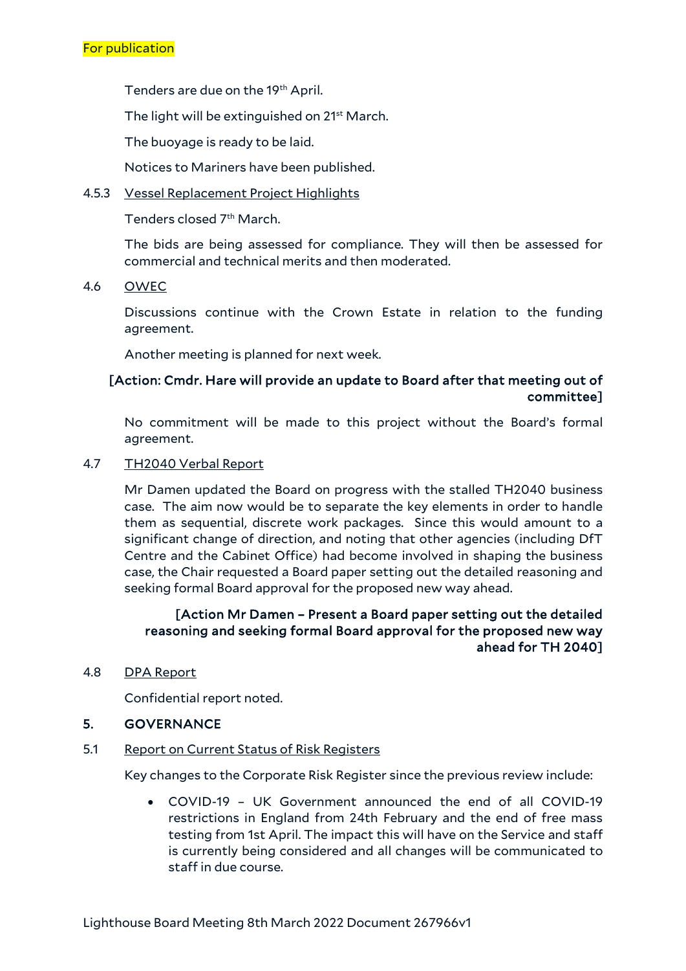Tenders are due on the 19<sup>th</sup> April.

The light will be extinguished on 21<sup>st</sup> March.

The buoyage is ready to be laid.

Notices to Mariners have been published.

4.5.3 Vessel Replacement Project Highlights

Tenders closed 7th March.

The bids are being assessed for compliance. They will then be assessed for commercial and technical merits and then moderated.

## 4.6 OWEC

Discussions continue with the Crown Estate in relation to the funding agreement.

Another meeting is planned for next week.

# [Action: Cmdr. Hare will provide an update to Board after that meeting out of committee]

No commitment will be made to this project without the Board's formal agreement.

## 4.7 TH2040 Verbal Report

Mr Damen updated the Board on progress with the stalled TH2040 business case. The aim now would be to separate the key elements in order to handle them as sequential, discrete work packages. Since this would amount to a significant change of direction, and noting that other agencies (including DfT Centre and the Cabinet Office) had become involved in shaping the business case, the Chair requested a Board paper setting out the detailed reasoning and seeking formal Board approval for the proposed new way ahead.

## [Action Mr Damen – Present a Board paper setting out the detailed reasoning and seeking formal Board approval for the proposed new way ahead for TH 2040]

## 4.8 DPA Report

Confidential report noted.

## 5. GOVERNANCE

## 5.1 Report on Current Status of Risk Registers

Key changes to the Corporate Risk Register since the previous review include:

• COVID-19 – UK Government announced the end of all COVID-19 restrictions in England from 24th February and the end of free mass testing from 1st April. The impact this will have on the Service and staff is currently being considered and all changes will be communicated to staff in due course.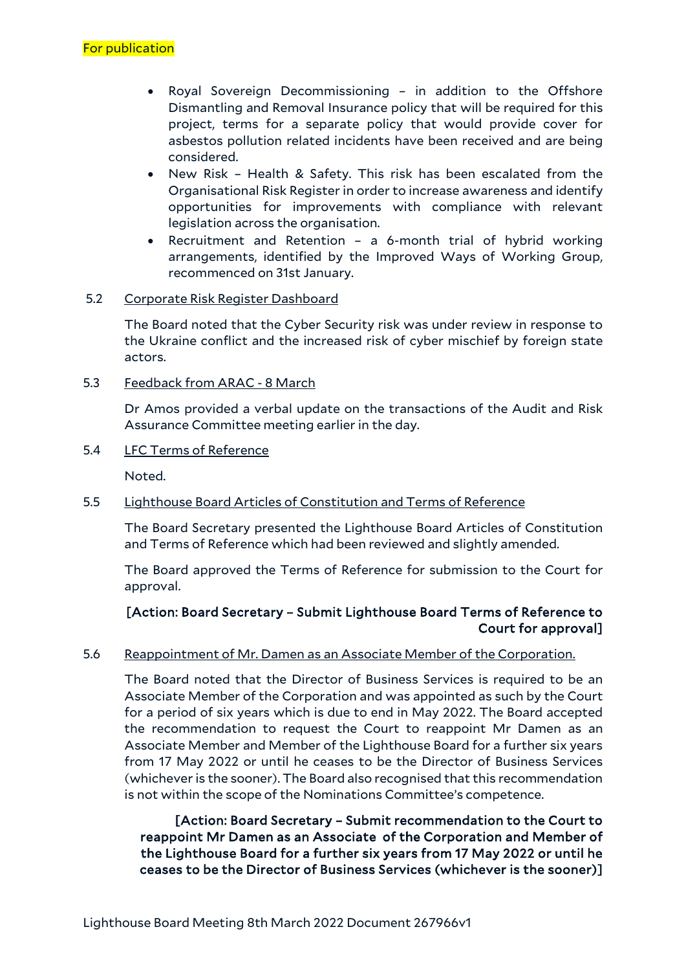- Royal Sovereign Decommissioning in addition to the Offshore Dismantling and Removal Insurance policy that will be required for this project, terms for a separate policy that would provide cover for asbestos pollution related incidents have been received and are being considered.
- New Risk Health & Safety. This risk has been escalated from the Organisational Risk Register in order to increase awareness and identify opportunities for improvements with compliance with relevant legislation across the organisation.
- Recruitment and Retention a 6-month trial of hybrid working arrangements, identified by the Improved Ways of Working Group, recommenced on 31st January.

## 5.2 Corporate Risk Register Dashboard

The Board noted that the Cyber Security risk was under review in response to the Ukraine conflict and the increased risk of cyber mischief by foreign state actors.

5.3 Feedback from ARAC - 8 March

Dr Amos provided a verbal update on the transactions of the Audit and Risk Assurance Committee meeting earlier in the day.

5.4 LFC Terms of Reference

Noted.

## 5.5 Lighthouse Board Articles of Constitution and Terms of Reference

The Board Secretary presented the Lighthouse Board Articles of Constitution and Terms of Reference which had been reviewed and slightly amended.

The Board approved the Terms of Reference for submission to the Court for approval.

## [Action: Board Secretary – Submit Lighthouse Board Terms of Reference to Court for approval]

#### 5.6 Reappointment of Mr. Damen as an Associate Member of the Corporation.

The Board noted that the Director of Business Services is required to be an Associate Member of the Corporation and was appointed as such by the Court for a period of six years which is due to end in May 2022. The Board accepted the recommendation to request the Court to reappoint Mr Damen as an Associate Member and Member of the Lighthouse Board for a further six years from 17 May 2022 or until he ceases to be the Director of Business Services (whichever is the sooner). The Board also recognised that this recommendation is not within the scope of the Nominations Committee's competence.

[Action: Board Secretary – Submit recommendation to the Court to reappoint Mr Damen as an Associate of the Corporation and Member of the Lighthouse Board for a further six years from 17 May 2022 or until he ceases to be the Director of Business Services (whichever is the sooner)]